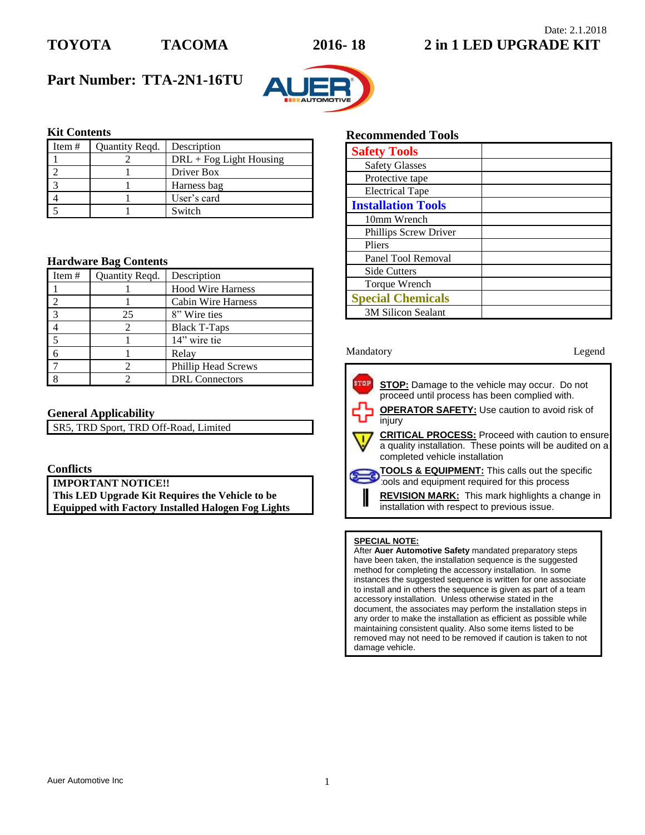

## Date: 2.1.2018 **TOYOTA TACOMA 2016- 18 2 in 1 LED UPGRADE KIT**

# **Part Number: TTA-2N1-16TU**



## **Kit Contents**

| Item $#$ | Quantity Regd. | Description               |
|----------|----------------|---------------------------|
|          |                | $DRL + Fog Light Housing$ |
|          |                | Driver Box                |
|          |                | Harness bag               |
|          |                | User's card               |
|          |                | Switch                    |

### **Hardware Bag Contents**

| Item $#$   | Quantity Reqd. | Description                |
|------------|----------------|----------------------------|
|            |                | <b>Hood Wire Harness</b>   |
|            |                | Cabin Wire Harness         |
| $^{\circ}$ | 25             | 8" Wire ties               |
|            |                | <b>Black T-Taps</b>        |
|            |                | 14" wire tie               |
|            |                | Relay                      |
|            |                | <b>Phillip Head Screws</b> |
|            |                | <b>DRL</b> Connectors      |

### **General Applicability**

SR5, TRD Sport, TRD Off-Road, Limited

## **Conflicts**

**IMPORTANT NOTICE!! This LED Upgrade Kit Requires the Vehicle to be Equipped with Factory Installed Halogen Fog Lights**

## **Recommended Tools**

| <b>Safety Tools</b>          |  |
|------------------------------|--|
| <b>Safety Glasses</b>        |  |
| Protective tape              |  |
| <b>Electrical Tape</b>       |  |
| <b>Installation Tools</b>    |  |
| 10mm Wrench                  |  |
| <b>Phillips Screw Driver</b> |  |
| Pliers                       |  |
| Panel Tool Removal           |  |
| <b>Side Cutters</b>          |  |
| Torque Wrench                |  |
| <b>Special Chemicals</b>     |  |
| <b>3M Silicon Sealant</b>    |  |

### Mandatory **Legend**

⋐

I

stop **STOP:** Damage to the vehicle may occur. Do not proceed until process has been complied with. **OPERATOR SAFETY:** Use caution to avoid risk of injury **CRITICAL PROCESS:** Proceed with caution to ensure a quality installation. These points will be audited on a completed vehicle installation

**TOOLS & EQUIPMENT:** This calls out the specific tools and equipment required for this process

**REVISION MARK:** This mark highlights a change in installation with respect to previous issue.

### **SPECIAL NOTE:**

After **Auer Automotive Safety** mandated preparatory steps have been taken, the installation sequence is the suggested method for completing the accessory installation. In some instances the suggested sequence is written for one associate to install and in others the sequence is given as part of a team accessory installation. Unless otherwise stated in the document, the associates may perform the installation steps in any order to make the installation as efficient as possible while maintaining consistent quality. Also some items listed to be removed may not need to be removed if caution is taken to not damage vehicle.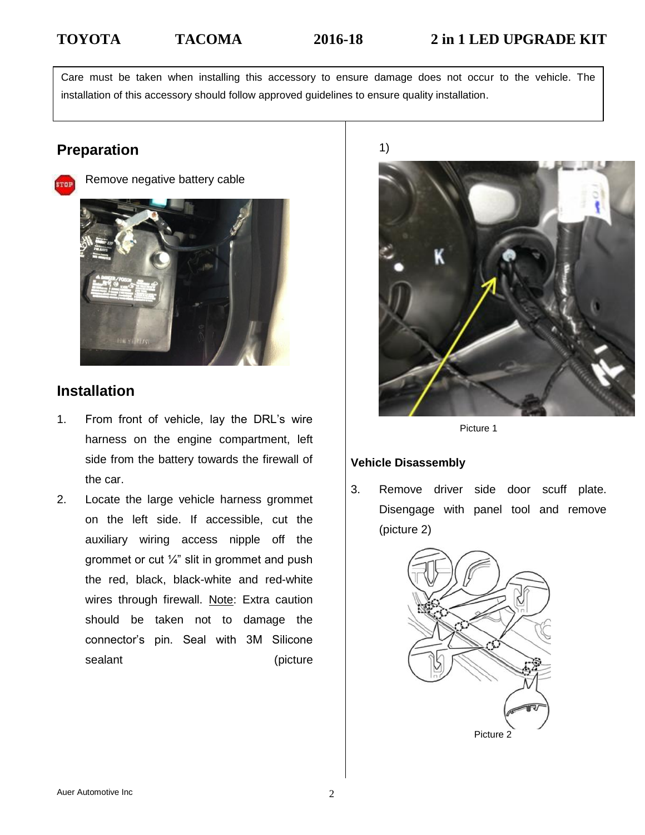Care must be taken when installing this accessory to ensure damage does not occur to the vehicle. The installation of this accessory should follow approved guidelines to ensure quality installation.

# **Preparation**



Remove negative battery cable



# **Installation**

- 1. From front of vehicle, lay the DRL's wire harness on the engine compartment, left side from the battery towards the firewall of the car.
- 2. Locate the large vehicle harness grommet on the left side. If accessible, cut the auxiliary wiring access nipple off the grommet or cut  $\frac{1}{4}$ " slit in grommet and push the red, black, black-white and red-white wires through firewall. Note: Extra caution should be taken not to damage the connector's pin. Seal with 3M Silicone sealant (picture

1)



Picture 1

## **Vehicle Disassembly**

3. Remove driver side door scuff plate. Disengage with panel tool and remove (picture 2)

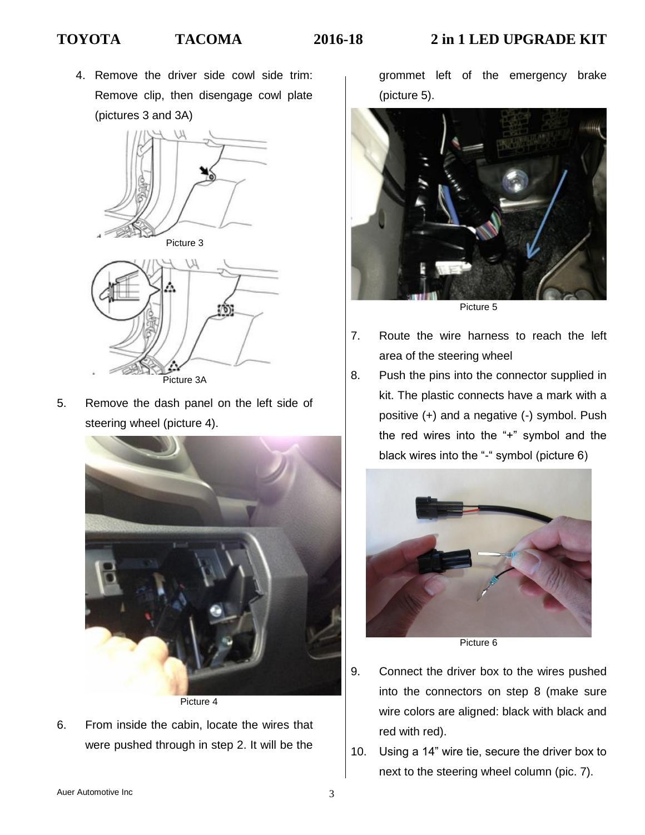4. Remove the driver side cowl side trim: Remove clip, then disengage cowl plate (pictures 3 and 3A)





Picture 3A

5. Remove the dash panel on the left side of steering wheel (picture 4).



6. From inside the cabin, locate the wires that were pushed through in step 2. It will be the

grommet left of the emergency brake (picture 5).



- 7. Route the wire harness to reach the left area of the steering wheel
- 8. Push the pins into the connector supplied in kit. The plastic connects have a mark with a positive (+) and a negative (-) symbol. Push the red wires into the "+" symbol and the black wires into the "-" symbol (picture 6)



Picture 6

- 9. Connect the driver box to the wires pushed into the connectors on step 8 (make sure wire colors are aligned: black with black and red with red).
- 10. Using a 14" wire tie, secure the driver box to next to the steering wheel column (pic. 7).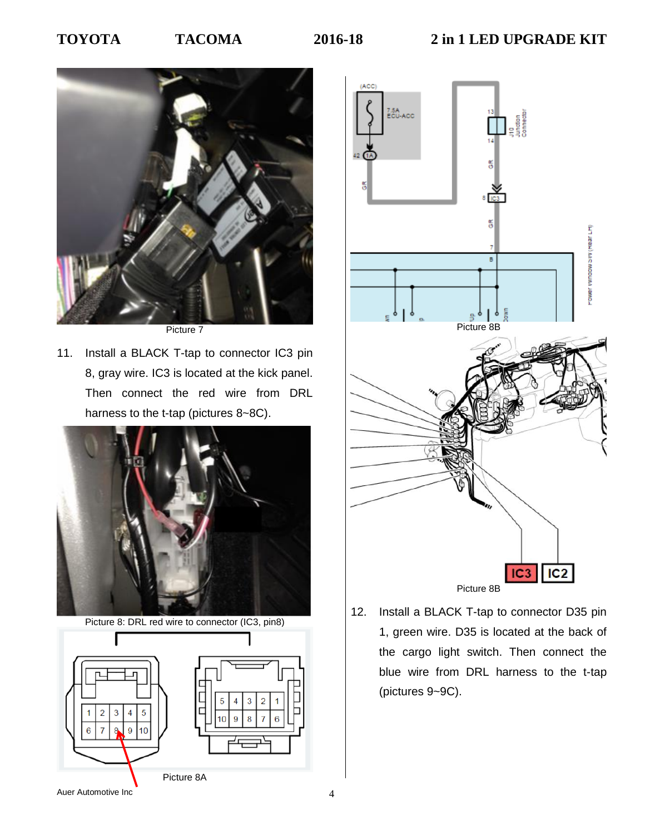

Picture 7

11. Install a BLACK T-tap to connector IC3 pin 8, gray wire. IC3 is located at the kick panel. Then connect the red wire from DRL harness to the t-tap (pictures 8~8C).



Picture 8: DRL red wire to connector (IC3, pin8)





12. Install a BLACK T-tap to connector D35 pin 1, green wire. D35 is located at the back of the cargo light switch. Then connect the blue wire from DRL harness to the t-tap (pictures 9~9C).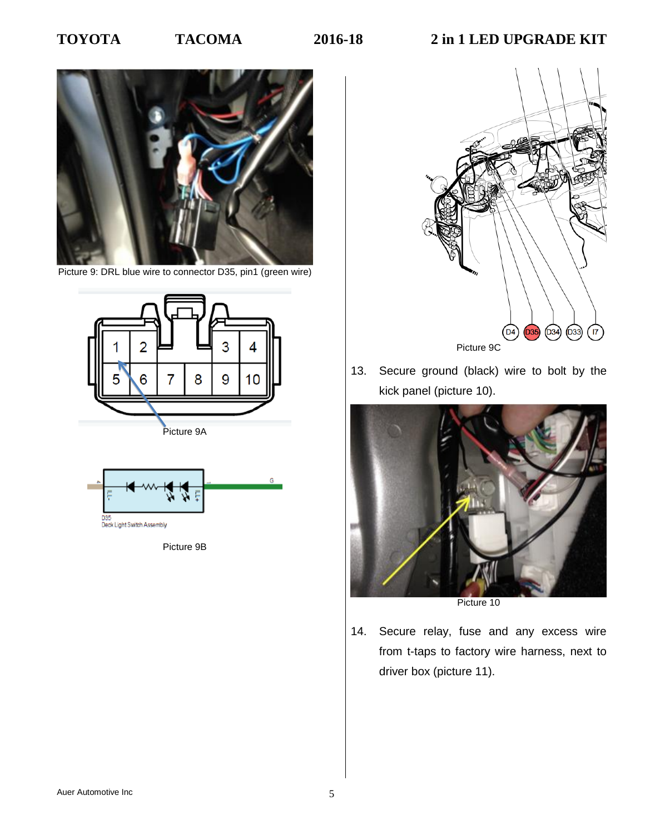

Picture 9: DRL blue wire to connector D35, pin1 (green wire)





Picture 9B



13. Secure ground (black) wire to bolt by the kick panel (picture 10).



Picture 10

14. Secure relay, fuse and any excess wire from t-taps to factory wire harness, next to driver box (picture 11).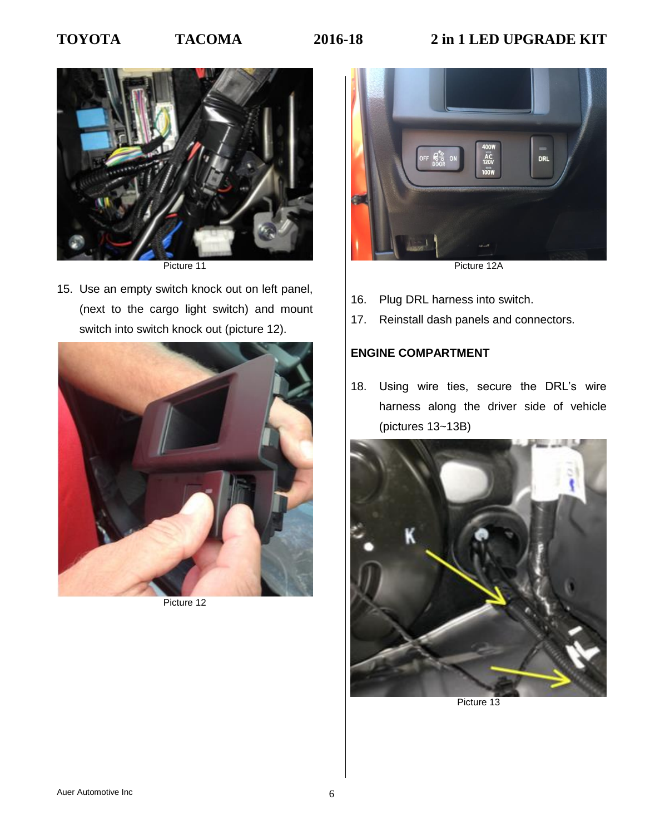# **TOYOTA TACOMA 2016-18 2 in 1 LED UPGRADE KIT**



Picture 11

15. Use an empty switch knock out on left panel, (next to the cargo light switch) and mount switch into switch knock out (picture 12).



Picture 12



Picture 12A

- 16. Plug DRL harness into switch.
- 17. Reinstall dash panels and connectors.

## **ENGINE COMPARTMENT**

18. Using wire ties, secure the DRL's wire harness along the driver side of vehicle (pictures 13~13B)



Picture 13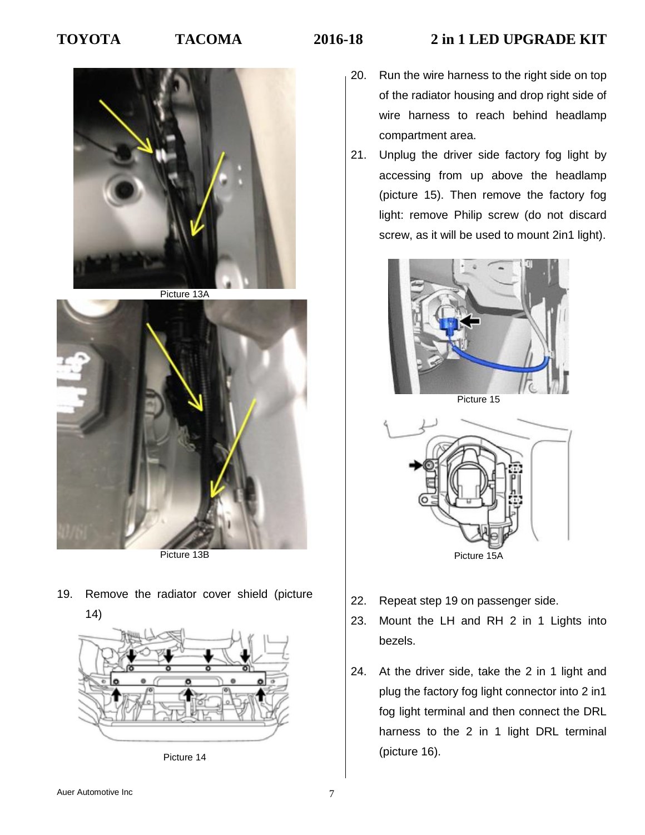## **TOYOTA TACOMA 2016-18 2 in 1 LED UPGRADE KIT**



Picture 13A



Picture 13B

19. Remove the radiator cover shield (picture 14)



Picture 14

- 20. Run the wire harness to the right side on top of the radiator housing and drop right side of wire harness to reach behind headlamp compartment area.
- 21. Unplug the driver side factory fog light by accessing from up above the headlamp (picture 15). Then remove the factory fog light: remove Philip screw (do not discard screw, as it will be used to mount 2in1 light).



Picture 15



- 22. Repeat step 19 on passenger side.
- 23. Mount the LH and RH 2 in 1 Lights into bezels.
- 24. At the driver side, take the 2 in 1 light and plug the factory fog light connector into 2 in1 fog light terminal and then connect the DRL harness to the 2 in 1 light DRL terminal (picture 16).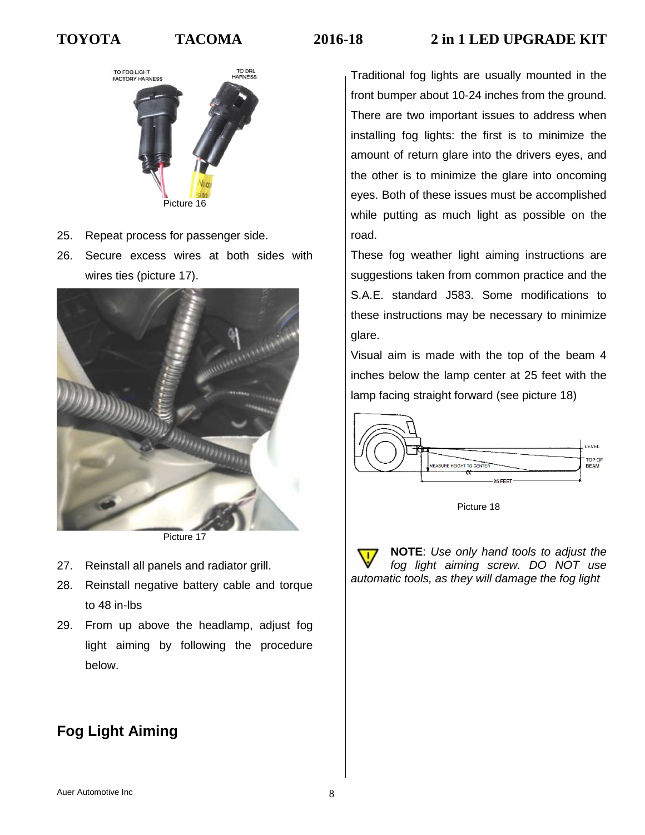# **TOYOTA TACOMA 2016-18 2 in 1 LED UPGRADE KIT**



- 25. Repeat process for passenger side.
- 26. Secure excess wires at both sides with wires ties (picture 17).



Picture 17

- 27. Reinstall all panels and radiator grill.
- 28. Reinstall negative battery cable and torque to 48 in-lbs
- 29. From up above the headlamp, adjust fog light aiming by following the procedure below.

# **Fog Light Aiming**

Traditional fog lights are usually mounted in the front bumper about 10-24 inches from the ground. There are two important issues to address when installing fog lights: the first is to minimize the amount of return glare into the drivers eyes, and the other is to minimize the glare into oncoming eyes. Both of these issues must be accomplished while putting as much light as possible on the road.

These fog weather light aiming instructions are suggestions taken from common practice and the S.A.E. standard J583. Some modifications to these instructions may be necessary to minimize glare.

Visual aim is made with the top of the beam 4 inches below the lamp center at 25 feet with the lamp facing straight forward (see picture 18)



Picture 18

**NOTE**: *Use only hand tools to adjust the fog light aiming screw. DO NOT use automatic tools, as they will damage the fog light*